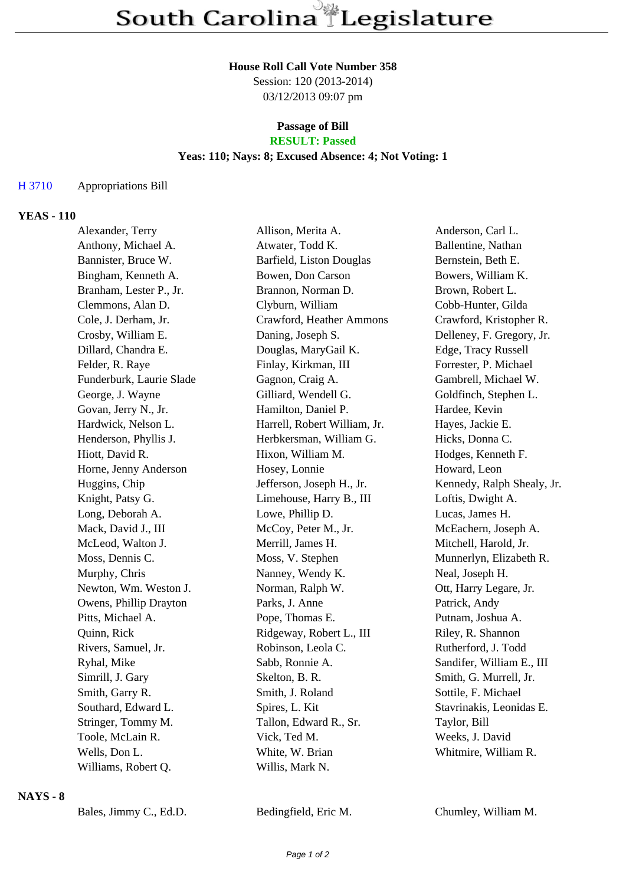#### **House Roll Call Vote Number 358**

Session: 120 (2013-2014) 03/12/2013 09:07 pm

#### **Passage of Bill RESULT: Passed**

## **Yeas: 110; Nays: 8; Excused Absence: 4; Not Voting: 1**

### H 3710 Appropriations Bill

### **YEAS - 110**

| Alexander, Terry         | Allison, Merita A.           | Anderson, Carl L.          |
|--------------------------|------------------------------|----------------------------|
| Anthony, Michael A.      | Atwater, Todd K.             | Ballentine, Nathan         |
| Bannister, Bruce W.      | Barfield, Liston Douglas     | Bernstein, Beth E.         |
| Bingham, Kenneth A.      | Bowen, Don Carson            | Bowers, William K.         |
| Branham, Lester P., Jr.  | Brannon, Norman D.           | Brown, Robert L.           |
| Clemmons, Alan D.        | Clyburn, William             | Cobb-Hunter, Gilda         |
| Cole, J. Derham, Jr.     | Crawford, Heather Ammons     | Crawford, Kristopher R.    |
| Crosby, William E.       | Daning, Joseph S.            | Delleney, F. Gregory, Jr.  |
| Dillard, Chandra E.      | Douglas, MaryGail K.         | Edge, Tracy Russell        |
| Felder, R. Raye          | Finlay, Kirkman, III         | Forrester, P. Michael      |
| Funderburk, Laurie Slade | Gagnon, Craig A.             | Gambrell, Michael W.       |
| George, J. Wayne         | Gilliard, Wendell G.         | Goldfinch, Stephen L.      |
| Govan, Jerry N., Jr.     | Hamilton, Daniel P.          | Hardee, Kevin              |
| Hardwick, Nelson L.      | Harrell, Robert William, Jr. | Hayes, Jackie E.           |
| Henderson, Phyllis J.    | Herbkersman, William G.      | Hicks, Donna C.            |
| Hiott, David R.          | Hixon, William M.            | Hodges, Kenneth F.         |
| Horne, Jenny Anderson    | Hosey, Lonnie                | Howard, Leon               |
| Huggins, Chip            | Jefferson, Joseph H., Jr.    | Kennedy, Ralph Shealy, Jr. |
| Knight, Patsy G.         | Limehouse, Harry B., III     | Loftis, Dwight A.          |
| Long, Deborah A.         | Lowe, Phillip D.             | Lucas, James H.            |
| Mack, David J., III      | McCoy, Peter M., Jr.         | McEachern, Joseph A.       |
| McLeod, Walton J.        | Merrill, James H.            | Mitchell, Harold, Jr.      |
| Moss, Dennis C.          | Moss, V. Stephen             | Munnerlyn, Elizabeth R.    |
| Murphy, Chris            | Nanney, Wendy K.             | Neal, Joseph H.            |
| Newton, Wm. Weston J.    | Norman, Ralph W.             | Ott, Harry Legare, Jr.     |
| Owens, Phillip Drayton   | Parks, J. Anne               | Patrick, Andy              |
| Pitts, Michael A.        | Pope, Thomas E.              | Putnam, Joshua A.          |
| Quinn, Rick              | Ridgeway, Robert L., III     | Riley, R. Shannon          |
| Rivers, Samuel, Jr.      | Robinson, Leola C.           | Rutherford, J. Todd        |
| Ryhal, Mike              | Sabb, Ronnie A.              | Sandifer, William E., III  |
| Simrill, J. Gary         | Skelton, B. R.               | Smith, G. Murrell, Jr.     |
| Smith, Garry R.          | Smith, J. Roland             | Sottile, F. Michael        |
| Southard, Edward L.      | Spires, L. Kit               | Stavrinakis, Leonidas E.   |
| Stringer, Tommy M.       | Tallon, Edward R., Sr.       | Taylor, Bill               |
| Toole, McLain R.         | Vick, Ted M.                 | Weeks, J. David            |
| Wells, Don L.            | White, W. Brian              | Whitmire, William R.       |
| Williams, Robert Q.      | Willis, Mark N.              |                            |
|                          |                              |                            |

### **NAYS - 8**

Bales, Jimmy C., Ed.D. Bedingfield, Eric M. Chumley, William M.